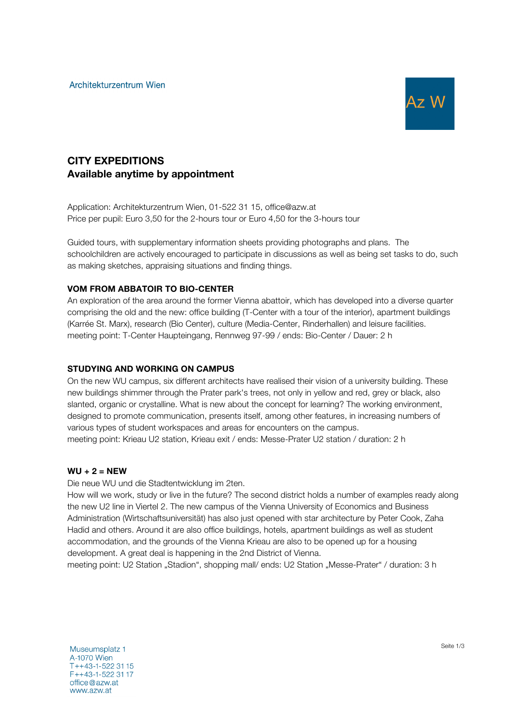

# CITY EXPEDITIONS Available anytime by appointment

Application: Architekturzentrum Wien, 01-522 31 15, office@azw.at Price per pupil: Euro 3,50 for the 2-hours tour or Euro 4,50 for the 3-hours tour

Guided tours, with supplementary information sheets providing photographs and plans. The schoolchildren are actively encouraged to participate in discussions as well as being set tasks to do, such as making sketches, appraising situations and finding things.

# VOM FROM ABBATOIR TO BIO-CENTER

An exploration of the area around the former Vienna abattoir, which has developed into a diverse quarter comprising the old and the new: office building (T-Center with a tour of the interior), apartment buildings (Karrée St. Marx), research (Bio Center), culture (Media-Center, Rinderhallen) and leisure facilities. meeting point: T-Center Haupteingang, Rennweg 97-99 / ends: Bio-Center / Dauer: 2 h

# STUDYING AND WORKING ON CAMPUS

On the new WU campus, six different architects have realised their vision of a university building. These new buildings shimmer through the Prater park's trees, not only in yellow and red, grey or black, also slanted, organic or crystalline. What is new about the concept for learning? The working environment, designed to promote communication, presents itself, among other features, in increasing numbers of various types of student workspaces and areas for encounters on the campus. meeting point: Krieau U2 station, Krieau exit / ends: Messe-Prater U2 station / duration: 2 h

# $WU + 2 = NEW$

Die neue WU und die Stadtentwicklung im 2ten.

How will we work, study or live in the future? The second district holds a number of examples ready along the new U2 line in Viertel 2. The new campus of the Vienna University of Economics and Business Administration (Wirtschaftsuniversität) has also just opened with star architecture by Peter Cook, Zaha Hadid and others. Around it are also office buildings, hotels, apartment buildings as well as student accommodation, and the grounds of the Vienna Krieau are also to be opened up for a housing development. A great deal is happening in the 2nd District of Vienna.

meeting point: U2 Station "Stadion", shopping mall/ ends: U2 Station "Messe-Prater" / duration: 3 h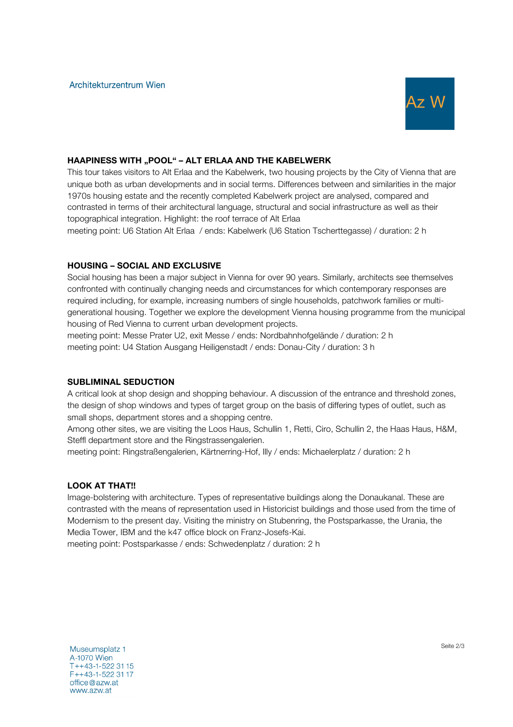

# HAAPINESS WITH "POOL" - ALT ERLAA AND THE KABELWERK

This tour takes visitors to Alt Erlaa and the Kabelwerk, two housing projects by the City of Vienna that are unique both as urban developments and in social terms. Differences between and similarities in the major 1970s housing estate and the recently completed Kabelwerk project are analysed, compared and contrasted in terms of their architectural language, structural and social infrastructure as well as their topographical integration. Highlight: the roof terrace of Alt Erlaa

meeting point: U6 Station Alt Erlaa / ends: Kabelwerk (U6 Station Tscherttegasse) / duration: 2 h

#### HOUSING – SOCIAL AND EXCLUSIVE

Social housing has been a major subject in Vienna for over 90 years. Similarly, architects see themselves confronted with continually changing needs and circumstances for which contemporary responses are required including, for example, increasing numbers of single households, patchwork families or multigenerational housing. Together we explore the development Vienna housing programme from the municipal housing of Red Vienna to current urban development projects.

meeting point: Messe Prater U2, exit Messe / ends: Nordbahnhofgelände / duration: 2 h meeting point: U4 Station Ausgang Heiligenstadt / ends: Donau-City / duration: 3 h

### SUBLIMINAL SEDUCTION

A critical look at shop design and shopping behaviour. A discussion of the entrance and threshold zones, the design of shop windows and types of target group on the basis of differing types of outlet, such as small shops, department stores and a shopping centre.

Among other sites, we are visiting the Loos Haus, Schullin 1, Retti, Ciro, Schullin 2, the Haas Haus, H&M, Steffl department store and the Ringstrassengalerien.

meeting point: Ringstraßengalerien, Kärtnerring-Hof, Illy / ends: Michaelerplatz / duration: 2 h

# LOOK AT THAT!!

Image-bolstering with architecture. Types of representative buildings along the Donaukanal. These are contrasted with the means of representation used in Historicist buildings and those used from the time of Modernism to the present day. Visiting the ministry on Stubenring, the Postsparkasse, the Urania, the Media Tower, IBM and the k47 office block on Franz-Josefs-Kai.

meeting point: Postsparkasse / ends: Schwedenplatz / duration: 2 h